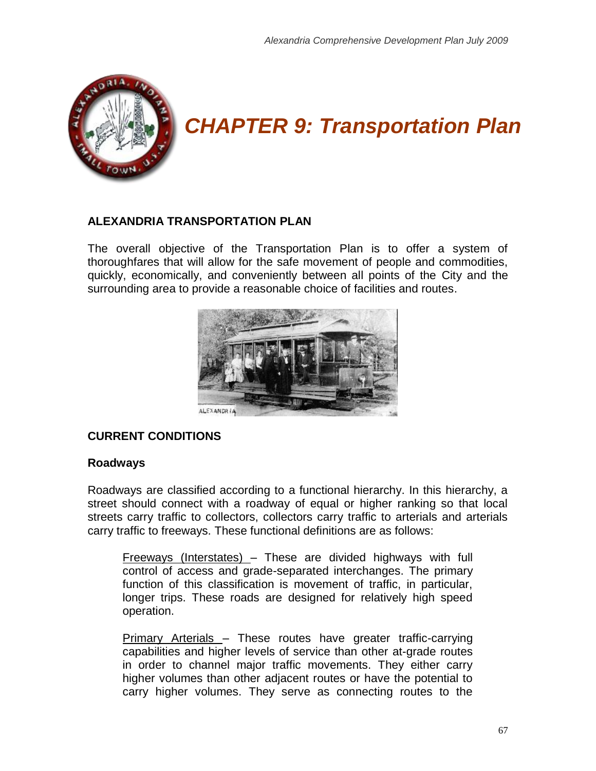

# *CHAPTER 9: Transportation Plan*

# **ALEXANDRIA TRANSPORTATION PLAN**

The overall objective of the Transportation Plan is to offer a system of thoroughfares that will allow for the safe movement of people and commodities, quickly, economically, and conveniently between all points of the City and the surrounding area to provide a reasonable choice of facilities and routes.



# **CURRENT CONDITIONS**

#### **Roadways**

Roadways are classified according to a functional hierarchy. In this hierarchy, a street should connect with a roadway of equal or higher ranking so that local streets carry traffic to collectors, collectors carry traffic to arterials and arterials carry traffic to freeways. These functional definitions are as follows:

Freeways (Interstates) – These are divided highways with full control of access and grade-separated interchanges. The primary function of this classification is movement of traffic, in particular, longer trips. These roads are designed for relatively high speed operation.

Primary Arterials – These routes have greater traffic-carrying capabilities and higher levels of service than other at-grade routes in order to channel major traffic movements. They either carry higher volumes than other adjacent routes or have the potential to carry higher volumes. They serve as connecting routes to the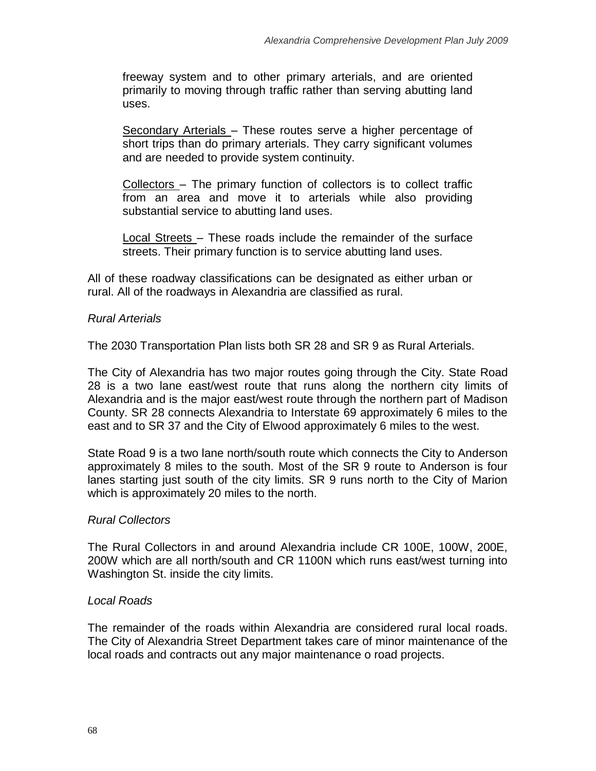freeway system and to other primary arterials, and are oriented primarily to moving through traffic rather than serving abutting land uses.

Secondary Arterials – These routes serve a higher percentage of short trips than do primary arterials. They carry significant volumes and are needed to provide system continuity.

Collectors – The primary function of collectors is to collect traffic from an area and move it to arterials while also providing substantial service to abutting land uses.

Local Streets – These roads include the remainder of the surface streets. Their primary function is to service abutting land uses.

All of these roadway classifications can be designated as either urban or rural. All of the roadways in Alexandria are classified as rural.

# *Rural Arterials*

The 2030 Transportation Plan lists both SR 28 and SR 9 as Rural Arterials.

The City of Alexandria has two major routes going through the City. State Road 28 is a two lane east/west route that runs along the northern city limits of Alexandria and is the major east/west route through the northern part of Madison County. SR 28 connects Alexandria to Interstate 69 approximately 6 miles to the east and to SR 37 and the City of Elwood approximately 6 miles to the west.

State Road 9 is a two lane north/south route which connects the City to Anderson approximately 8 miles to the south. Most of the SR 9 route to Anderson is four lanes starting just south of the city limits. SR 9 runs north to the City of Marion which is approximately 20 miles to the north.

#### *Rural Collectors*

The Rural Collectors in and around Alexandria include CR 100E, 100W, 200E, 200W which are all north/south and CR 1100N which runs east/west turning into Washington St. inside the city limits.

#### *Local Roads*

The remainder of the roads within Alexandria are considered rural local roads. The City of Alexandria Street Department takes care of minor maintenance of the local roads and contracts out any major maintenance o road projects.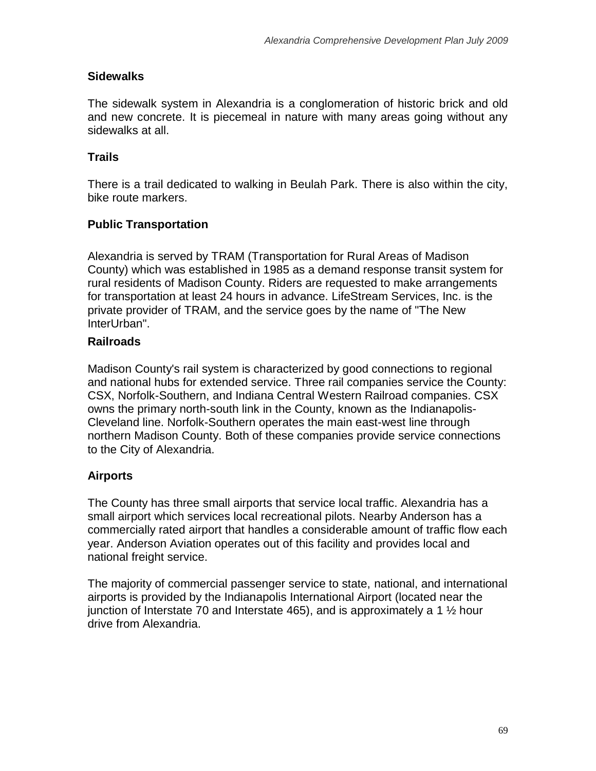# **Sidewalks**

The sidewalk system in Alexandria is a conglomeration of historic brick and old and new concrete. It is piecemeal in nature with many areas going without any sidewalks at all.

# **Trails**

There is a trail dedicated to walking in Beulah Park. There is also within the city, bike route markers.

# **Public Transportation**

Alexandria is served by TRAM (Transportation for Rural Areas of Madison County) which was established in 1985 as a demand response transit system for rural residents of Madison County. Riders are requested to make arrangements for transportation at least 24 hours in advance. [LifeStream Services, Inc.](http://www.lifestreaminc.org/) is the private provider of TRAM, and the service goes by the name of "The New InterUrban".

# **Railroads**

Madison County's rail system is characterized by good connections to regional and national hubs for extended service. Three rail companies service the County: CSX, Norfolk-Southern, and Indiana Central Western Railroad companies. CSX owns the primary north-south link in the County, known as the Indianapolis-Cleveland line. Norfolk-Southern operates the main east-west line through northern Madison County. Both of these companies provide service connections to the City of Alexandria.

# **Airports**

The County has three small airports that service local traffic. Alexandria has a small airport which services local recreational pilots. Nearby Anderson has a commercially rated airport that handles a considerable amount of traffic flow each year. Anderson Aviation operates out of this facility and provides local and national freight service.

The majority of commercial passenger service to state, national, and international airports is provided by the Indianapolis International Airport (located near the junction of Interstate 70 and Interstate 465), and is approximately a 1 ½ hour drive from Alexandria.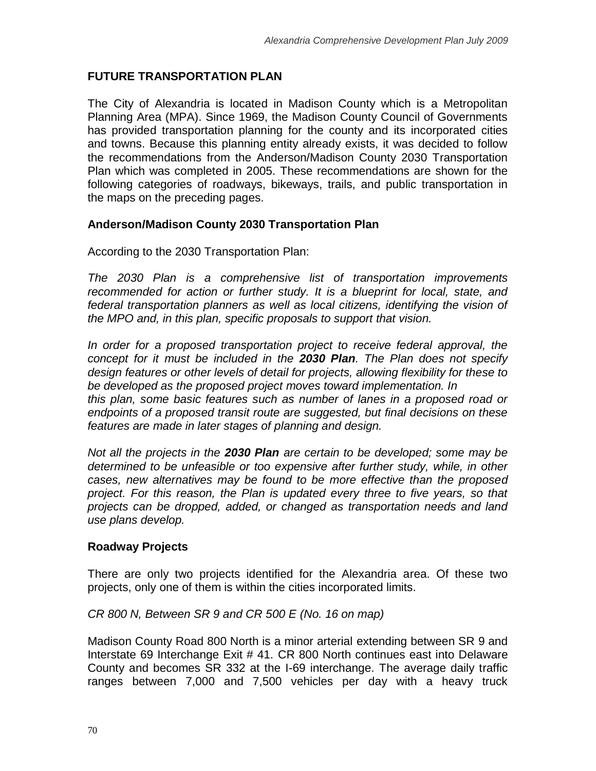# **FUTURE TRANSPORTATION PLAN**

The City of Alexandria is located in Madison County which is a Metropolitan Planning Area (MPA). Since 1969, the Madison County Council of Governments has provided transportation planning for the county and its incorporated cities and towns. Because this planning entity already exists, it was decided to follow the recommendations from the Anderson/Madison County 2030 Transportation Plan which was completed in 2005. These recommendations are shown for the following categories of roadways, bikeways, trails, and public transportation in the maps on the preceding pages.

#### **Anderson/Madison County 2030 Transportation Plan**

According to the 2030 Transportation Plan:

*The 2030 Plan is a comprehensive list of transportation improvements recommended for action or further study. It is a blueprint for local, state, and federal transportation planners as well as local citizens, identifying the vision of the MPO and, in this plan, specific proposals to support that vision.*

In order for a proposed transportation project to receive federal approval, the *concept for it must be included in the 2030 Plan. The Plan does not specify design features or other levels of detail for projects, allowing flexibility for these to be developed as the proposed project moves toward implementation. In this plan, some basic features such as number of lanes in a proposed road or endpoints of a proposed transit route are suggested, but final decisions on these* 

*features are made in later stages of planning and design.*

*Not all the projects in the 2030 Plan are certain to be developed; some may be determined to be unfeasible or too expensive after further study, while, in other cases, new alternatives may be found to be more effective than the proposed project. For this reason, the Plan is updated every three to five years, so that projects can be dropped, added, or changed as transportation needs and land use plans develop.*

#### **Roadway Projects**

There are only two projects identified for the Alexandria area. Of these two projects, only one of them is within the cities incorporated limits.

#### *CR 800 N, Between SR 9 and CR 500 E (No. 16 on map)*

Madison County Road 800 North is a minor arterial extending between SR 9 and Interstate 69 Interchange Exit # 41. CR 800 North continues east into Delaware County and becomes SR 332 at the I-69 interchange. The average daily traffic ranges between 7,000 and 7,500 vehicles per day with a heavy truck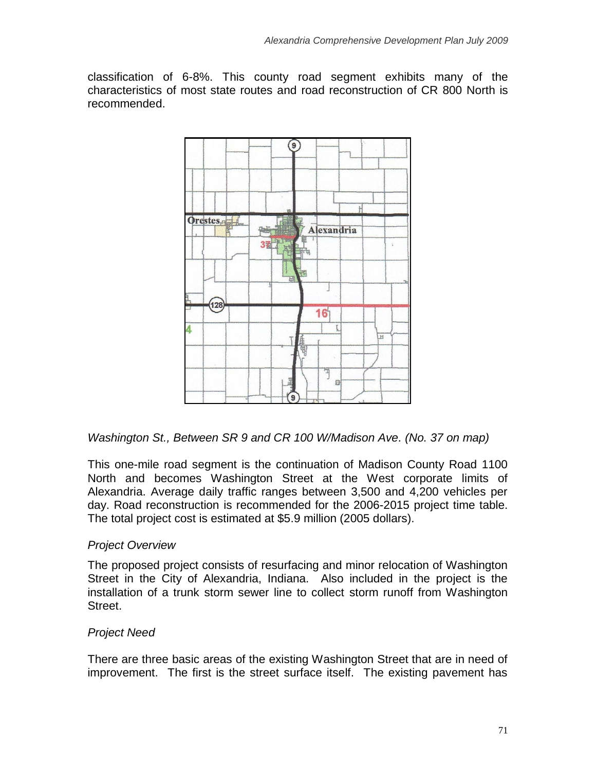classification of 6-8%. This county road segment exhibits many of the characteristics of most state routes and road reconstruction of CR 800 North is recommended.



*Washington St., Between SR 9 and CR 100 W/Madison Ave. (No. 37 on map)*

This one-mile road segment is the continuation of Madison County Road 1100 North and becomes Washington Street at the West corporate limits of Alexandria. Average daily traffic ranges between 3,500 and 4,200 vehicles per day. Road reconstruction is recommended for the 2006-2015 project time table. The total project cost is estimated at \$5.9 million (2005 dollars).

# *Project Overview*

The proposed project consists of resurfacing and minor relocation of Washington Street in the City of Alexandria, Indiana. Also included in the project is the installation of a trunk storm sewer line to collect storm runoff from Washington Street.

# *Project Need*

There are three basic areas of the existing Washington Street that are in need of improvement. The first is the street surface itself. The existing pavement has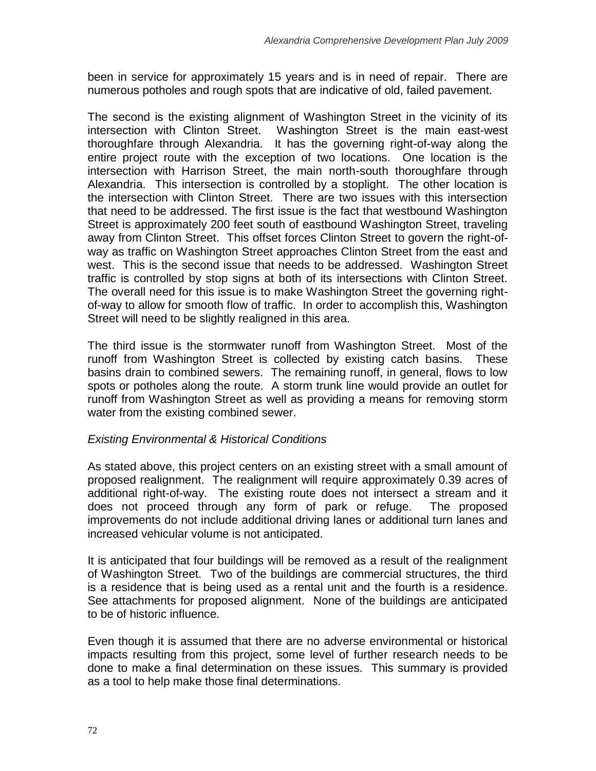been in service for approximately 15 years and is in need of repair. There are numerous potholes and rough spots that are indicative of old, failed pavement.

The second is the existing alignment of Washington Street in the vicinity of its intersection with Clinton Street. Washington Street is the main east-west thoroughfare through Alexandria. It has the governing right-of-way along the entire project route with the exception of two locations. One location is the intersection with Harrison Street, the main north-south thoroughfare through Alexandria. This intersection is controlled by a stoplight. The other location is the intersection with Clinton Street. There are two issues with this intersection that need to be addressed. The first issue is the fact that westbound Washington Street is approximately 200 feet south of eastbound Washington Street, traveling away from Clinton Street. This offset forces Clinton Street to govern the right-ofway as traffic on Washington Street approaches Clinton Street from the east and west. This is the second issue that needs to be addressed. Washington Street traffic is controlled by stop signs at both of its intersections with Clinton Street. The overall need for this issue is to make Washington Street the governing rightof-way to allow for smooth flow of traffic. In order to accomplish this, Washington Street will need to be slightly realigned in this area.

The third issue is the stormwater runoff from Washington Street. Most of the runoff from Washington Street is collected by existing catch basins. These basins drain to combined sewers. The remaining runoff, in general, flows to low spots or potholes along the route. A storm trunk line would provide an outlet for runoff from Washington Street as well as providing a means for removing storm water from the existing combined sewer.

# *Existing Environmental & Historical Conditions*

As stated above, this project centers on an existing street with a small amount of proposed realignment. The realignment will require approximately 0.39 acres of additional right-of-way. The existing route does not intersect a stream and it does not proceed through any form of park or refuge. The proposed improvements do not include additional driving lanes or additional turn lanes and increased vehicular volume is not anticipated.

It is anticipated that four buildings will be removed as a result of the realignment of Washington Street. Two of the buildings are commercial structures, the third is a residence that is being used as a rental unit and the fourth is a residence. See attachments for proposed alignment. None of the buildings are anticipated to be of historic influence.

Even though it is assumed that there are no adverse environmental or historical impacts resulting from this project, some level of further research needs to be done to make a final determination on these issues. This summary is provided as a tool to help make those final determinations.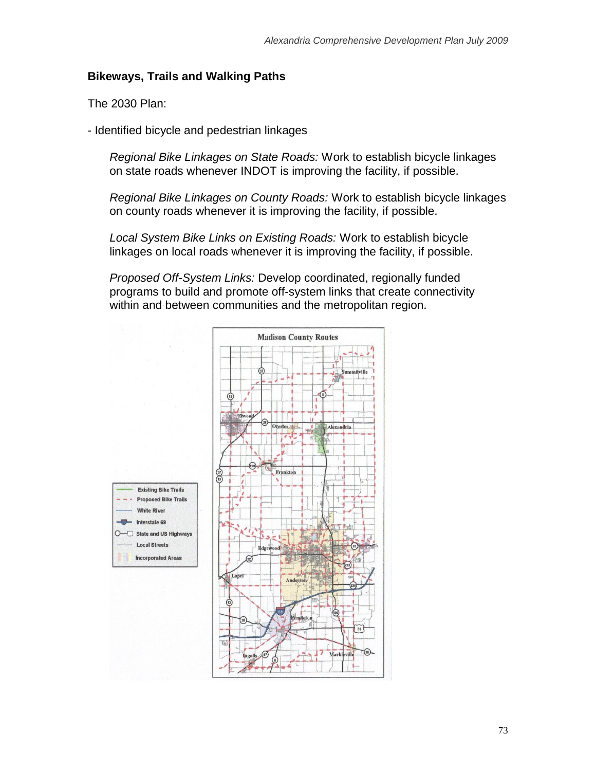#### **Bikeways, Trails and Walking Paths**

The 2030 Plan:

- Identified bicycle and pedestrian linkages

*Regional Bike Linkages on State Roads:* Work to establish bicycle linkages on state roads whenever INDOT is improving the facility, if possible.

*Regional Bike Linkages on County Roads:* Work to establish bicycle linkages on county roads whenever it is improving the facility, if possible.

*Local System Bike Links on Existing Roads:* Work to establish bicycle linkages on local roads whenever it is improving the facility, if possible.

*Proposed Off-System Links:* Develop coordinated, regionally funded programs to build and promote off-system links that create connectivity within and between communities and the metropolitan region.

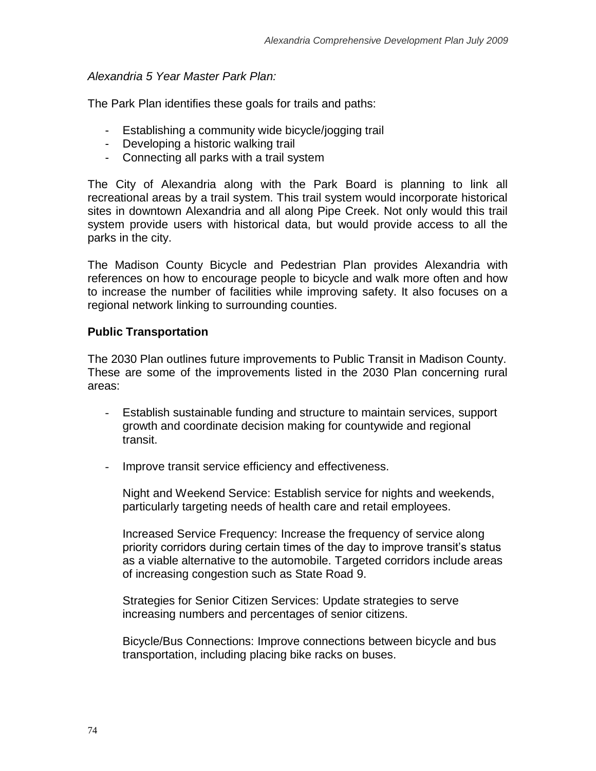#### *Alexandria 5 Year Master Park Plan:*

The Park Plan identifies these goals for trails and paths:

- Establishing a community wide bicycle/jogging trail
- Developing a historic walking trail
- Connecting all parks with a trail system

The City of Alexandria along with the Park Board is planning to link all recreational areas by a trail system. This trail system would incorporate historical sites in downtown Alexandria and all along Pipe Creek. Not only would this trail system provide users with historical data, but would provide access to all the parks in the city.

The Madison County Bicycle and Pedestrian Plan provides Alexandria with references on how to encourage people to bicycle and walk more often and how to increase the number of facilities while improving safety. It also focuses on a regional network linking to surrounding counties.

#### **Public Transportation**

The 2030 Plan outlines future improvements to Public Transit in Madison County. These are some of the improvements listed in the 2030 Plan concerning rural areas:

- Establish sustainable funding and structure to maintain services, support growth and coordinate decision making for countywide and regional transit.
- Improve transit service efficiency and effectiveness.

Night and Weekend Service: Establish service for nights and weekends, particularly targeting needs of health care and retail employees.

Increased Service Frequency: Increase the frequency of service along priority corridors during certain times of the day to improve transit's status as a viable alternative to the automobile. Targeted corridors include areas of increasing congestion such as State Road 9.

Strategies for Senior Citizen Services: Update strategies to serve increasing numbers and percentages of senior citizens.

Bicycle/Bus Connections: Improve connections between bicycle and bus transportation, including placing bike racks on buses.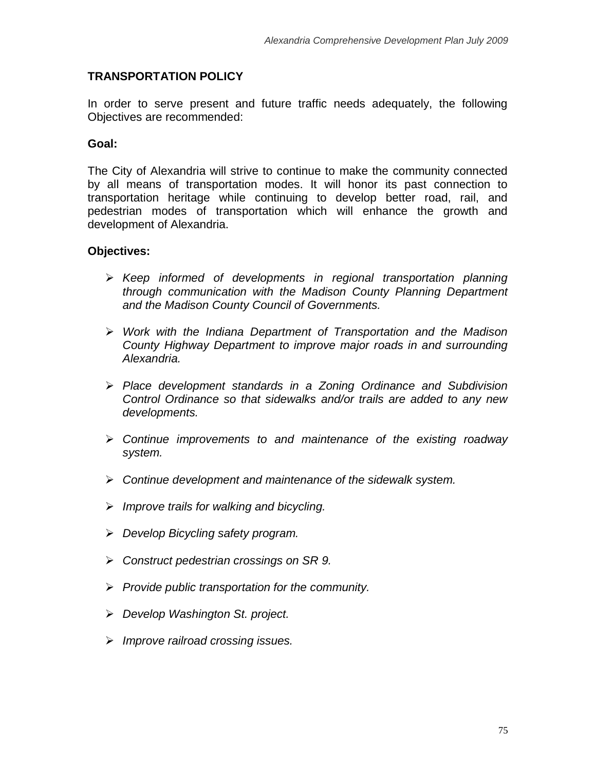# **TRANSPORTATION POLICY**

In order to serve present and future traffic needs adequately, the following Objectives are recommended:

# **Goal:**

The City of Alexandria will strive to continue to make the community connected by all means of transportation modes. It will honor its past connection to transportation heritage while continuing to develop better road, rail, and pedestrian modes of transportation which will enhance the growth and development of Alexandria.

# **Objectives:**

- *Keep informed of developments in regional transportation planning through communication with the Madison County Planning Department and the Madison County Council of Governments.*
- *Work with the Indiana Department of Transportation and the Madison County Highway Department to improve major roads in and surrounding Alexandria.*
- *Place development standards in a Zoning Ordinance and Subdivision Control Ordinance so that sidewalks and/or trails are added to any new developments.*
- *Continue improvements to and maintenance of the existing roadway system.*
- *Continue development and maintenance of the sidewalk system.*
- *Improve trails for walking and bicycling.*
- *Develop Bicycling safety program.*
- *Construct pedestrian crossings on SR 9.*
- *Provide public transportation for the community.*
- *Develop Washington St. project.*
- *Improve railroad crossing issues.*